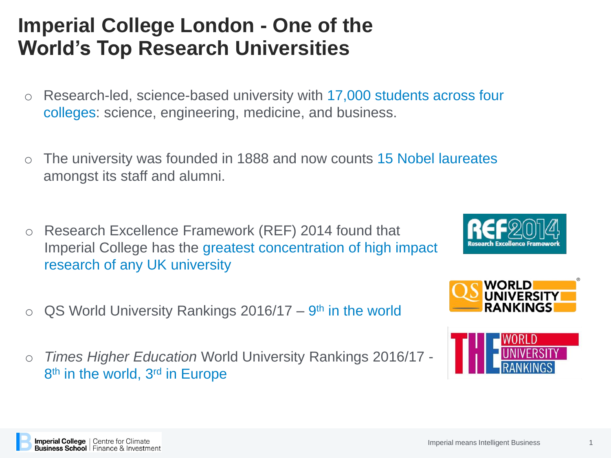## **Imperial College London - One of the World's Top Research Universities**

- o Research-led, science-based university with 17,000 students across four colleges: science, engineering, medicine, and business.
- o The university was founded in 1888 and now counts 15 Nobel laureates amongst its staff and alumni.
- o Research Excellence Framework (REF) 2014 found that Imperial College has the greatest concentration of high impact research of any UK university
- $\circ$  QS World University Rankings 2016/17 9<sup>th</sup> in the world
- o *Times Higher Education* World University Rankings 2016/17 8<sup>th</sup> in the world, 3<sup>rd</sup> in Europe







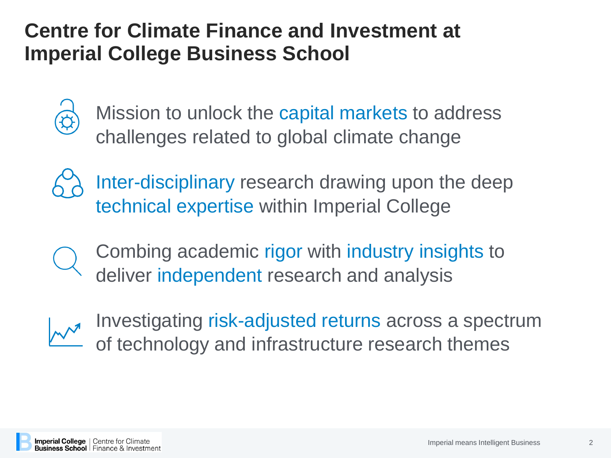## **Centre for Climate Finance and Investment at Imperial College Business School**



Mission to unlock the capital markets to address challenges related to global climate change



Inter-disciplinary research drawing upon the deep technical expertise within Imperial College

Combing academic rigor with industry insights to deliver independent research and analysis



Investigating risk-adjusted returns across a spectrum of technology and infrastructure research themes